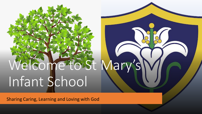# Welcome to St Mary Infant School

Sharing Caring, Learning and Loving with God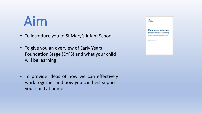#### Aim

- To introduce you to St Mary's Infant School
- To give you an overview of Early Years Foundation Stage (EYFS) and what your child will be learning
- To provide ideas of how we can effectively work together and how you can best support your child at home

| <b>Cecartment</b><br>for Education                                                                                                                                    |
|-----------------------------------------------------------------------------------------------------------------------------------------------------------------------|
| <b>Early years outcomes</b><br>A non-statutory guide for practitioners and<br>inspectors to help inform understanding of<br>child development through the early years |
| September 2013                                                                                                                                                        |
|                                                                                                                                                                       |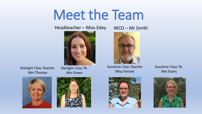#### Meet the Team

#### Headteacher – Miss Edey



Starlight Class Teacher Mrs Thomas

Starlight Class TA Mrs Green





INCO – Mr Smith



Sunshine Class Teacher Miss Farrant



Sunshine Class TA Mrs Evans

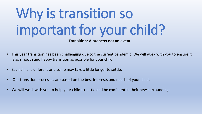# Why is transition so important for your child?

**Transition: A process not an event**

- This year transition has been challenging due to the current pandemic. We will work with you to ensure it is as smooth and happy transition as possible for your child.
- Each child is different and some may take a little longer to settle.
- Our transition processes are based on the best interests and needs of your child.
- We will work with you to help your child to settle and be confident in their new surroundings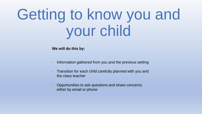# Getting to know you and your child

**We will do this by:**

- Information gathered from you and the previous setting
- Transition for each child carefully planned with you and the class teacher
- Opportunities to ask questions and share concerns either by email or phone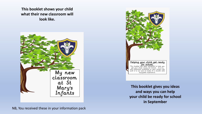**This booklet shows your child what their new classroom will look like.**





**This booklet gives you ideas and ways you can help your child be ready for school in September**

NB, You received these in your information pack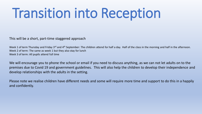#### Transition into Reception

This will be a short, part-time staggered approach

Week 1 of term Thursday and Friday 3<sup>rd</sup> and 4<sup>th</sup> September: The children attend for half a day. Half of the class in the morning and half in the afternoon. Week 2 of term: The same as week 1 but they also stay for lunch Week 3 of term: All pupils attend full time

We will encourage you to phone the school or email if you need to discuss anything, as we can not let adults on to the premises due to Covid 19 and government guidelines. This will also help the children to develop their independence and develop relationships with the adults in the setting.

Please note we realise children have different needs and some will require more time and support to do this in a happily and confidently.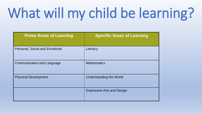# What will my child be learning?

| <b>Prime Areas of Learning</b>        | <b>Specific Areas of Learning</b> |
|---------------------------------------|-----------------------------------|
| <b>Personal, Social and Emotional</b> | Literacy                          |
| <b>Communication and Language</b>     | <b>Mathematics</b>                |
| <b>Physical Development</b>           | Understanding the World           |
|                                       | <b>Expressive Arts and Design</b> |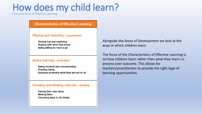#### How does my child learn?

Characteristics of Effective Learning

**Characteristics of Effective Learning** 

#### **Playing and exploring - engagement**

Finding out and exploring Playing with what they know Being willing to 'have a go'

#### **Active learning - motivation**

Being involved and concentrating **Keeping trying** Enjoying achieving what they set out to do

#### **Creating and thinking critically - thinking**

Having their own ideas **Making links** Choosing ways to do things Alongside the Areas of Development we look at the ways in which children learn.

The focus of the Characteristics of Effective Learning is on how children learn rather than what they learn i.e. process over outcome. This allows for teachers/practitioners to provide the right type of learning opportunities.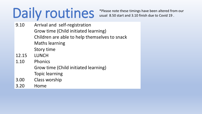# Daily routines

\*Please note these timings have been altered from our usual 8.50 start and 3.10 finish due to Covid 19 .

- 9.10 Arrival and self-registration Grow time (Child initiated learning) Children are able to help themselves to snack Maths learning Story time
- 12.15 LUNCH
- 1.10 Phonics
	- Grow time (Child initiated learning)
	- Topic learning
- 3.00 Class worship
- 3.20 Home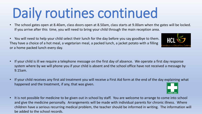### Daily routines continued

- The school gates open at 8.40am, class doors open at 8.50am, class starts at 9.00am when the gates will be locked. If you arrive after this time, you will need to bring your child through the main reception area.
- You will need to help your child select their lunch for the day before you say goodbye to them. They have a choice of a hot meal, a vegetarian meal, a packed lunch, a jacket potato with a filling or a home packed lunch every day.
- If your child is ill we require a telephone message on the first day of absence. We operate a first day response system where by we will phone you if your child is absent and the school office have not received a message by 9.15am.
- If your child receives any first aid treatment you will receive a First Aid form at the end of the day explaining what happened and the treatment, if any, that was given.
- It is not possible for medicine to be given out in school by staff. You are welcome to arrange to come into school and give the medicine personally. Arrangements will be made with individual parents for chronic illness. Where children have a serious recurring medical problem, the teacher should be informed in writing. The information will be added to the school records.



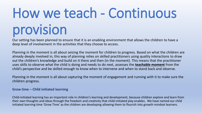# How we teach - Continuous provision

Our setting has been planned to ensure that it is an enabling environment that allows the children to have a deep level of involvement in the activities that they choose to access.

Planning in the moment is all about seizing the moment for children to progress. Based on what the children are already deeply involved in, this way of planning relies on skilled practitioners using quality interactions to draw out the children's knowledge and build on it there and then (in the moment). This means that the practitioner uses skills to observe what the child is doing and needs to do next, assesses the **teachable moment** from the child's perspective and be skilled enough to know when to intervene and when to stand back and observe.

Planning in the moment is all about capturing the moment of engagement and running with it to make sure the children progress.

#### **Grow time – Child initiated learning**

Child-initiated learning has an important role in children's learning and development, because children explore and learn from their own thoughts and ideas through the freedom and creativity that child-initiated play enables. We have named our child initiated learning time 'Grow Time' as the children are developing allowing them to flourish into growth mindset learners.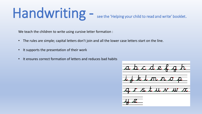# Handwriting -

see the 'Helping your child to read and write' booklet.

We teach the children to write using cursive letter formation :

- The rules are simple; capital letters don't join and all the lower case letters start on the line.
- It supports the presentation of their work
- It ensures correct formation of letters and reduces bad habits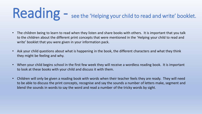### Reading - see the 'Helping your child to read and write' booklet.

- The children being to learn to read when they listen and share books with others. It is important that you talk to the children about the different print concepts that were mentioned in the 'Helping your child to read and write' booklet that you were given in your information pack.
- Ask your child questions about what is happening in the book, the different characters and what they think they might be feeling and why.
- When your child begins school in the first few week they will receive a wordless reading book. It is important to look at these books with your child and discuss it with them.
- Children will only be given a reading book with words when their teacher feels they are ready. They will need to be able to discuss the print concepts, recognise and say the sounds a number of letters make, segment and blend the sounds in words to say the word and read a number of the tricky words by sight.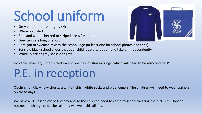### School uniform

- Grey pinafore dress or grey skirt
- White polo shirt
- Blue and white checked or striped dress for summer
- Grey trousers long or short
- Cardigan or sweatshirt with the school logo (at least one for school photos and trips)
- Sensible black school shoes that your child is able to put on and take off independently
- White, black or grey socks or tights.

No other jewellery is permitted except one pair of stud earrings, which will need to be removed for P.E.

#### P.E. in reception

Clothing for P.E. – navy shorts, a white t-shirt, white socks and blue joggers. The children will need to wear trainers on these days.

We have a P.E. lesson every Tuesday and so the children need to come to school wearing their P.E. kit. They do not need a change of clothes as they will wear this all day.

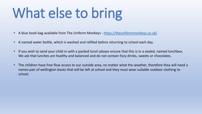# What else to bring

- A blue book bag available from The Uniform Monkeys <https://theuniformmonkeys.co.uk/>
- A named water bottle, which is washed and refilled before returning to school each day.
- If you wish to send your child in with a packed lunch please ensure that this is in a sealed, named lunchbox. We ask that lunches are healthy and balanced and do not contain fizzy drinks, sweets or chocolates.
- The children have free flow access to our outside area, no matter what the weather, therefore they will need a names pair of wellington boots that will be left at school and they must wear suitable outdoor clothing to school.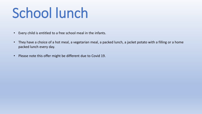### School lunch

- Every child is entitled to a free school meal in the infants.
- They have a choice of a hot meal, a vegetarian meal, a packed lunch, a jacket potato with a filling or a home packed lunch every day.
- Please note this offer might be different due to Covid 19.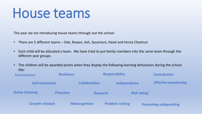#### House teams

This year we are introducing house teams through out the school:

- There are 5 different teams Oak, Rowan, Ash, Sycamore, Hazel and Horse Chestnut
- Each child will be allocated a team. We have tried to put family members into the same team through the different year groups.
- The children will be awarded points when they display the following learning behaviours during the school day:

| <b>Resilience</b><br>Perseverance |                  | <b>Responsibility</b> |                        |                    | <b>Contribution</b>           |
|-----------------------------------|------------------|-----------------------|------------------------|--------------------|-------------------------------|
| <b>Self-motivation</b>            |                  | <b>Collaboration</b>  | Independence           |                    | <b>Effective questioning</b>  |
| <b>Active listening</b>           | <b>Proactive</b> | <b>Research</b>       |                        | <b>Risk taking</b> |                               |
| <b>Growth mindset</b>             |                  | <b>Metacognition</b>  | <b>Problem solving</b> |                    | <b>Promoting safeguarding</b> |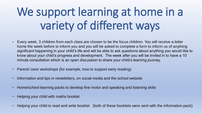#### We support learning at home in a variety of different ways

- Every week, 3 children from each class are chosen to be the focus children. You will receive a letter home the week before to inform you and you will be asked to complete a form to inform us of anything significant happening in your child's life and will be able to ask questions about anything you would like to know about your child's progress and development. The week after you will be invited in to have a 10 minute consultation which is an open discussion to share your child's learning journey.
- Parent/ carer workshops (for example, how to support early reading)
- Information and tips in newsletters, on social media and the school website
- Home/school learning packs to develop fine motor and speaking and listening skills
- Helping your child with maths booklet
- Helping your child to read and write booklet (both of these booklets were sent with the information pack)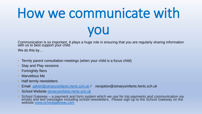# How we communicate with you

Communication is so important. It plays a huge role in ensuring that you are regularly sharing information with us to best support your child.

We do this by…

- Termly parent consultation meetings (when your child is a focus child)
- Stay and Play sessions
- **Fortnightly fliers**
- Marvellous Me
- Half termly newsletters
- Email *[admin@stmarysinfants.herts.sch.uk](mailto:admin@stmarysinfants.herts.sch.uk) / reception@stmarysinfants.herts.sch.uk*
- School Website [stmarysinfants.herts.sch.uk](http://stmarysinfants.herts.sch.uk/)
- School Gateway a payment and form system which we use for trip payments and communication via emails and text messages including school newsletters. Please sign up to the School Gateway on the website [www.schoolgateway.com](http://www.schoolgateway.com/)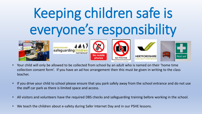# Keeping children safe is everyone's responsibility



**HERTFORDSHIRE** safeguardingch









- Your child will only be allowed to be collected from school by an adult who is named on their 'home time collection consent form'. If you have an ad hoc arrangement then this must be given in writing to the class teacher.
- If you drive your child to school please ensure that you park safely away from the school entrance and do not use the staff car park as there is limited space and access.
- All visitors and volunteers have the required DBS checks and safeguarding training before working in the school.
- We teach the children about e-safety during Safer Internet Day and in our PSHE lessons.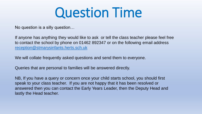#### Question Time

No question is a silly question…

If anyone has anything they would like to ask or tell the class teacher please feel free to contact the school by phone on 01462 892347 or on the following email address [reception@stmarysinfants.herts.sch.uk](mailto:reception@stmarysinfants.herts.sch.uk)

We will collate frequently asked questions and send them to everyone.

Queries that are personal to families will be answered directly.

NB, If you have a query or concern once your child starts school, you should first speak to your class teacher. If you are not happy that it has been resolved or answered then you can contact the Early Years Leader, then the Deputy Head and lastly the Head teacher.